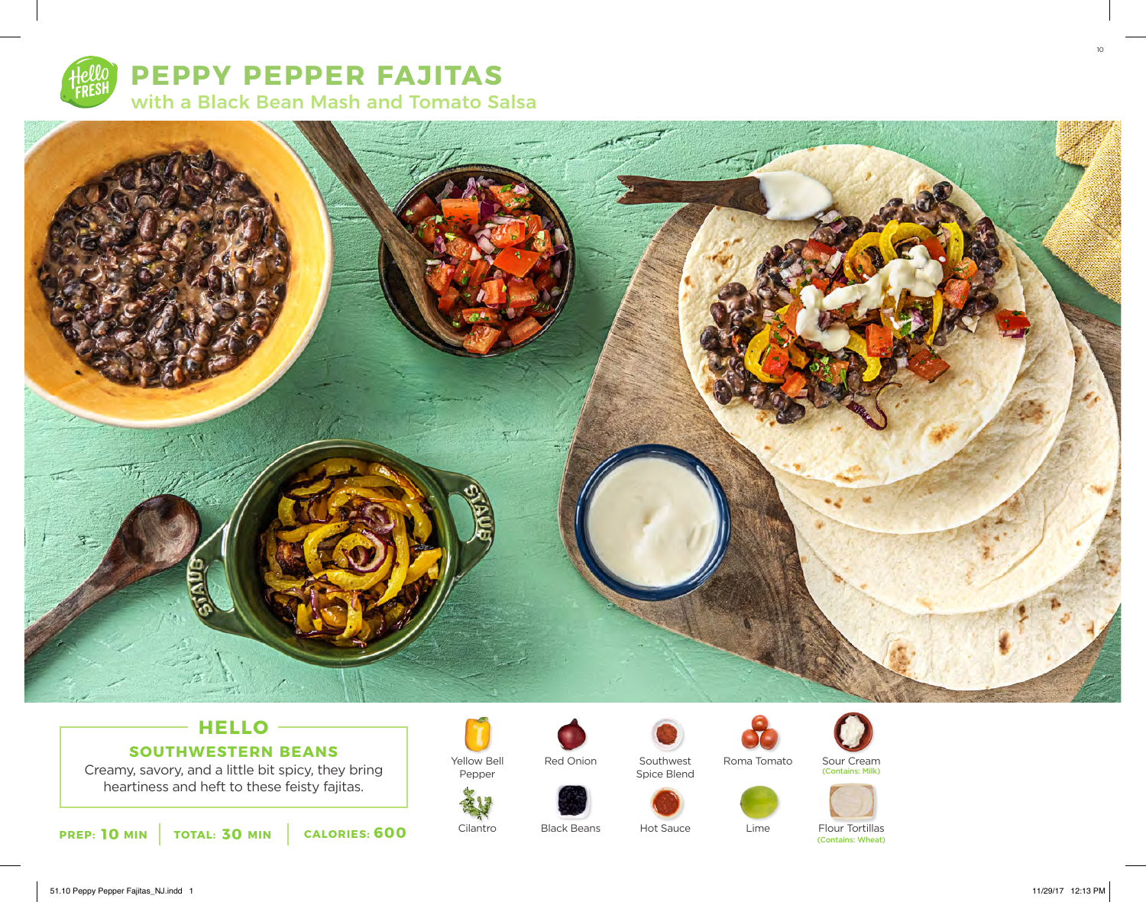

**PEPPY PEPPER FAJITAS** with a Black Bean Mash and Tomato Salsa



# **HELLO SOUTHWESTERN BEANS**

Creamy, savory, and a little bit spicy, they bring heartiness and heft to these feisty fajitas.



Yellow Bell Pepper



Black Beans

Red Onion

Hot Sauce

Southwest Spice Blend



Roma Tomato



Lime

Sour Cream (Contains: Milk)



Flour Tortillas<br>(Contains: Wheat)